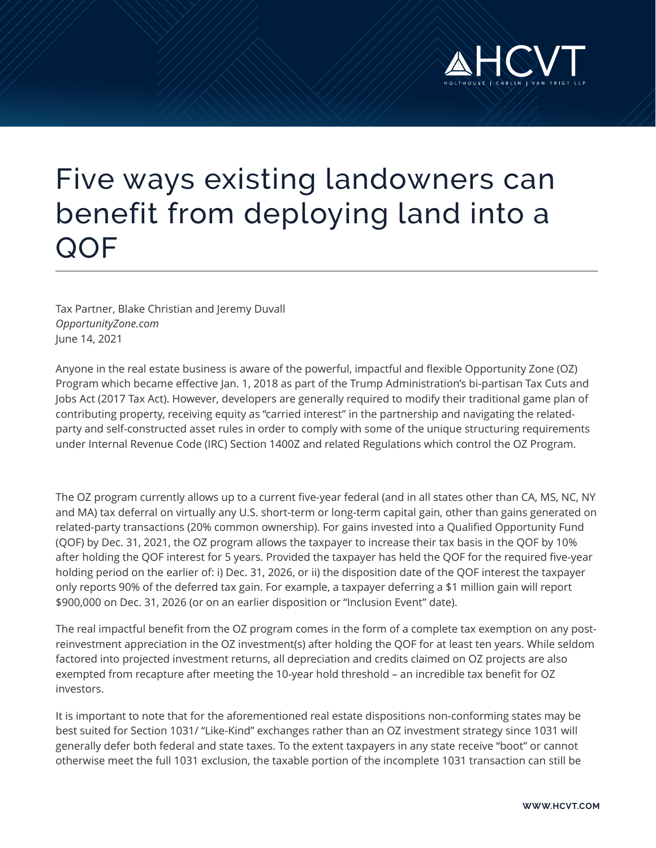

# Five ways existing landowners can benefit from deploying land into a **QOF**

Tax Partner, Blake Christian and Jeremy Duvall *OpportunityZone.com* June 14, 2021

Anyone in the real estate business is aware of the powerful, impactful and flexible Opportunity Zone (OZ) Program which became effective Jan. 1, 2018 as part of the Trump Administration's bi-partisan Tax Cuts and Jobs Act (2017 Tax Act). However, developers are generally required to modify their traditional game plan of contributing property, receiving equity as "carried interest" in the partnership and navigating the relatedparty and self-constructed asset rules in order to comply with some of the unique structuring requirements under Internal Revenue Code (IRC) Section 1400Z and related Regulations which control the OZ Program.

The OZ program currently allows up to a current five-year federal (and in all states other than CA, MS, NC, NY and MA) tax deferral on virtually any U.S. short-term or long-term capital gain, other than gains generated on related-party transactions (20% common ownership). For gains invested into a Qualified Opportunity Fund (QOF) by Dec. 31, 2021, the OZ program allows the taxpayer to increase their tax basis in the QOF by 10% after holding the QOF interest for 5 years. Provided the taxpayer has held the QOF for the required five-year holding period on the earlier of: i) Dec. 31, 2026, or ii) the disposition date of the QOF interest the taxpayer only reports 90% of the deferred tax gain. For example, a taxpayer deferring a \$1 million gain will report \$900,000 on Dec. 31, 2026 (or on an earlier disposition or "Inclusion Event" date).

The real impactful benefit from the OZ program comes in the form of a complete tax exemption on any postreinvestment appreciation in the OZ investment(s) after holding the QOF for at least ten years. While seldom factored into projected investment returns, all depreciation and credits claimed on OZ projects are also exempted from recapture after meeting the 10-year hold threshold – an incredible tax benefit for OZ investors.

It is important to note that for the aforementioned real estate dispositions non-conforming states may be best suited for Section 1031/ "Like-Kind" exchanges rather than an OZ investment strategy since 1031 will generally defer both federal and state taxes. To the extent taxpayers in any state receive "boot" or cannot otherwise meet the full 1031 exclusion, the taxable portion of the incomplete 1031 transaction can still be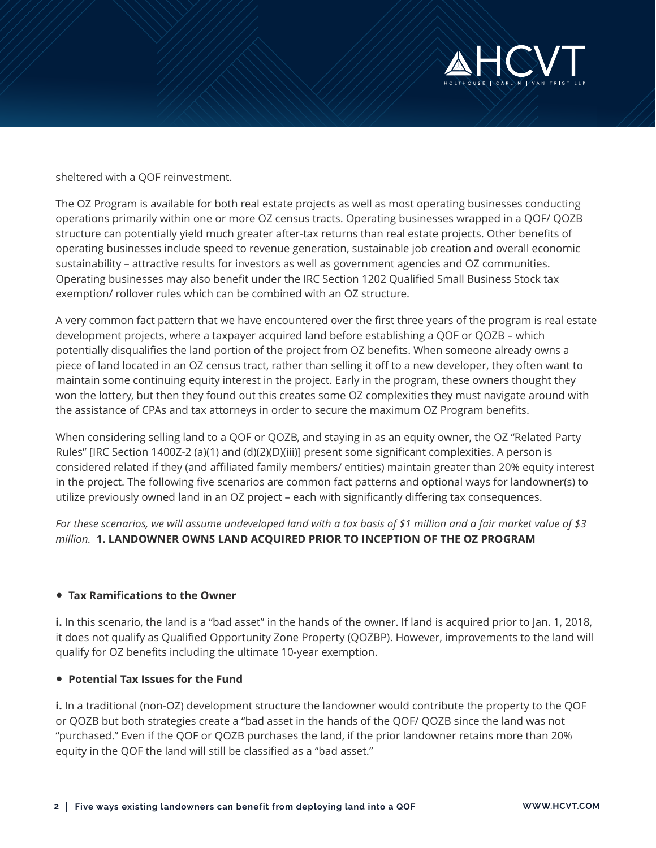

sheltered with a QOF reinvestment.

The OZ Program is available for both real estate projects as well as most operating businesses conducting operations primarily within one or more OZ census tracts. Operating businesses wrapped in a QOF/ QOZB structure can potentially yield much greater after-tax returns than real estate projects. Other benefits of operating businesses include speed to revenue generation, sustainable job creation and overall economic sustainability – attractive results for investors as well as government agencies and OZ communities. Operating businesses may also benefit under the IRC Section 1202 Qualified Small Business Stock tax exemption/ rollover rules which can be combined with an OZ structure.

A very common fact pattern that we have encountered over the first three years of the program is real estate development projects, where a taxpayer acquired land before establishing a QOF or QOZB – which potentially disqualifies the land portion of the project from OZ benefits. When someone already owns a piece of land located in an OZ census tract, rather than selling it off to a new developer, they often want to maintain some continuing equity interest in the project. Early in the program, these owners thought they won the lottery, but then they found out this creates some OZ complexities they must navigate around with the assistance of CPAs and tax attorneys in order to secure the maximum OZ Program benefits.

When considering selling land to a QOF or QOZB, and staying in as an equity owner, the OZ "Related Party Rules" [IRC Section 1400Z-2 (a)(1) and (d)(2)(D)(iii)] present some significant complexities. A person is considered related if they (and affiliated family members/ entities) maintain greater than 20% equity interest in the project. The following five scenarios are common fact patterns and optional ways for landowner(s) to utilize previously owned land in an OZ project – each with significantly differing tax consequences.

*For these scenarios, we will assume undeveloped land with a tax basis of \$1 million and a fair market value of \$3 million.* **1. LANDOWNER OWNS LAND ACQUIRED PRIOR TO INCEPTION OF THE OZ PROGRAM**

### ● **Tax Ramifications to the Owner**

**i.** In this scenario, the land is a "bad asset" in the hands of the owner. If land is acquired prior to Jan. 1, 2018, it does not qualify as Qualified Opportunity Zone Property (QOZBP). However, improvements to the land will qualify for OZ benefits including the ultimate 10-year exemption.

### ● **Potential Tax Issues for the Fund**

**i.** In a traditional (non-OZ) development structure the landowner would contribute the property to the QOF or QOZB but both strategies create a "bad asset in the hands of the QOF/ QOZB since the land was not "purchased." Even if the QOF or QOZB purchases the land, if the prior landowner retains more than 20% equity in the QOF the land will still be classified as a "bad asset."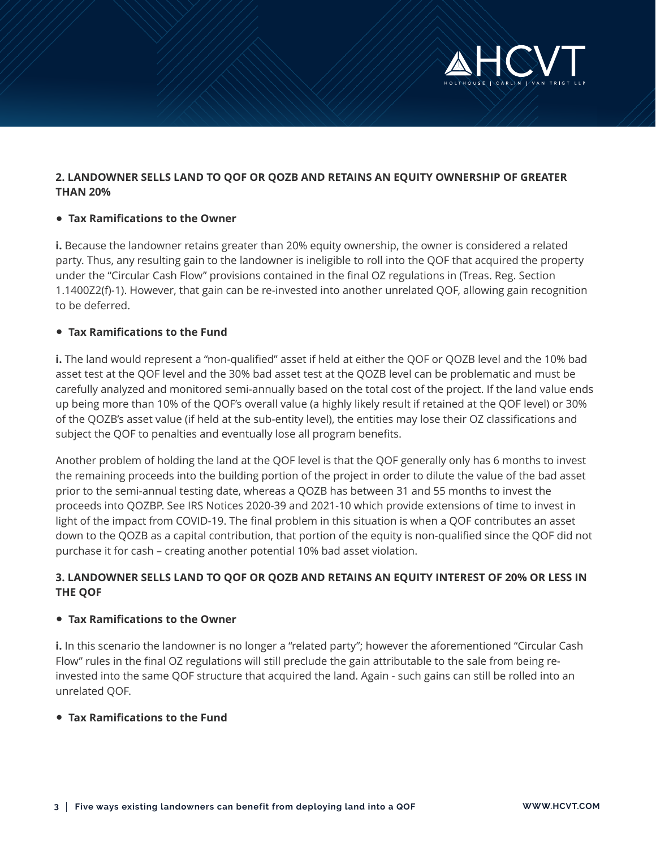

# **2. LANDOWNER SELLS LAND TO QOF OR QOZB AND RETAINS AN EQUITY OWNERSHIP OF GREATER THAN 20%**

### ● **Tax Ramifications to the Owner**

**i.** Because the landowner retains greater than 20% equity ownership, the owner is considered a related party. Thus, any resulting gain to the landowner is ineligible to roll into the QOF that acquired the property under the "Circular Cash Flow" provisions contained in the final OZ regulations in (Treas. Reg. Section 1.1400Z2(f)-1). However, that gain can be re-invested into another unrelated QOF, allowing gain recognition to be deferred.

## ● **Tax Ramifications to the Fund**

**i.** The land would represent a "non-qualified" asset if held at either the QOF or QOZB level and the 10% bad asset test at the QOF level and the 30% bad asset test at the QOZB level can be problematic and must be carefully analyzed and monitored semi-annually based on the total cost of the project. If the land value ends up being more than 10% of the QOF's overall value (a highly likely result if retained at the QOF level) or 30% of the QOZB's asset value (if held at the sub-entity level), the entities may lose their OZ classifications and subject the QOF to penalties and eventually lose all program benefits.

Another problem of holding the land at the QOF level is that the QOF generally only has 6 months to invest the remaining proceeds into the building portion of the project in order to dilute the value of the bad asset prior to the semi-annual testing date, whereas a QOZB has between 31 and 55 months to invest the proceeds into QOZBP. See IRS Notices 2020-39 and 2021-10 which provide extensions of time to invest in light of the impact from COVID-19. The final problem in this situation is when a QOF contributes an asset down to the QOZB as a capital contribution, that portion of the equity is non-qualified since the QOF did not purchase it for cash – creating another potential 10% bad asset violation.

# **3. LANDOWNER SELLS LAND TO QOF OR QOZB AND RETAINS AN EQUITY INTEREST OF 20% OR LESS IN THE QOF**

### ● **Tax Ramifications to the Owner**

**i.** In this scenario the landowner is no longer a "related party"; however the aforementioned "Circular Cash Flow" rules in the final OZ regulations will still preclude the gain attributable to the sale from being reinvested into the same QOF structure that acquired the land. Again - such gains can still be rolled into an unrelated QOF.

# ● **Tax Ramifications to the Fund**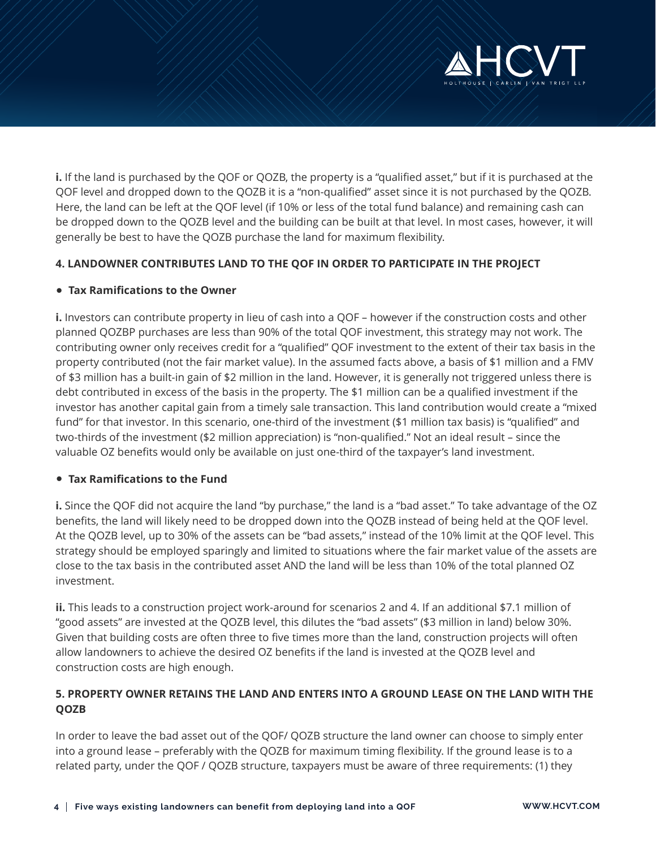

**i.** If the land is purchased by the QOF or QOZB, the property is a "qualified asset," but if it is purchased at the QOF level and dropped down to the QOZB it is a "non-qualified" asset since it is not purchased by the QOZB. Here, the land can be left at the QOF level (if 10% or less of the total fund balance) and remaining cash can be dropped down to the QOZB level and the building can be built at that level. In most cases, however, it will generally be best to have the QOZB purchase the land for maximum flexibility.

## **4. LANDOWNER CONTRIBUTES LAND TO THE QOF IN ORDER TO PARTICIPATE IN THE PROJECT**

#### ● **Tax Ramifications to the Owner**

**i.** Investors can contribute property in lieu of cash into a QOF – however if the construction costs and other planned QOZBP purchases are less than 90% of the total QOF investment, this strategy may not work. The contributing owner only receives credit for a "qualified" QOF investment to the extent of their tax basis in the property contributed (not the fair market value). In the assumed facts above, a basis of \$1 million and a FMV of \$3 million has a built-in gain of \$2 million in the land. However, it is generally not triggered unless there is debt contributed in excess of the basis in the property. The \$1 million can be a qualified investment if the investor has another capital gain from a timely sale transaction. This land contribution would create a "mixed fund" for that investor. In this scenario, one-third of the investment (\$1 million tax basis) is "qualified" and two-thirds of the investment (\$2 million appreciation) is "non-qualified." Not an ideal result – since the valuable OZ benefits would only be available on just one-third of the taxpayer's land investment.

#### ● **Tax Ramifications to the Fund**

**i.** Since the QOF did not acquire the land "by purchase," the land is a "bad asset." To take advantage of the OZ benefits, the land will likely need to be dropped down into the QOZB instead of being held at the QOF level. At the QOZB level, up to 30% of the assets can be "bad assets," instead of the 10% limit at the QOF level. This strategy should be employed sparingly and limited to situations where the fair market value of the assets are close to the tax basis in the contributed asset AND the land will be less than 10% of the total planned OZ investment.

**ii.** This leads to a construction project work-around for scenarios 2 and 4. If an additional \$7.1 million of "good assets" are invested at the QOZB level, this dilutes the "bad assets" (\$3 million in land) below 30%. Given that building costs are often three to five times more than the land, construction projects will often allow landowners to achieve the desired OZ benefits if the land is invested at the QOZB level and construction costs are high enough.

# **5. PROPERTY OWNER RETAINS THE LAND AND ENTERS INTO A GROUND LEASE ON THE LAND WITH THE QOZB**

In order to leave the bad asset out of the QOF/ QOZB structure the land owner can choose to simply enter into a ground lease – preferably with the QOZB for maximum timing flexibility. If the ground lease is to a related party, under the QOF / QOZB structure, taxpayers must be aware of three requirements: (1) they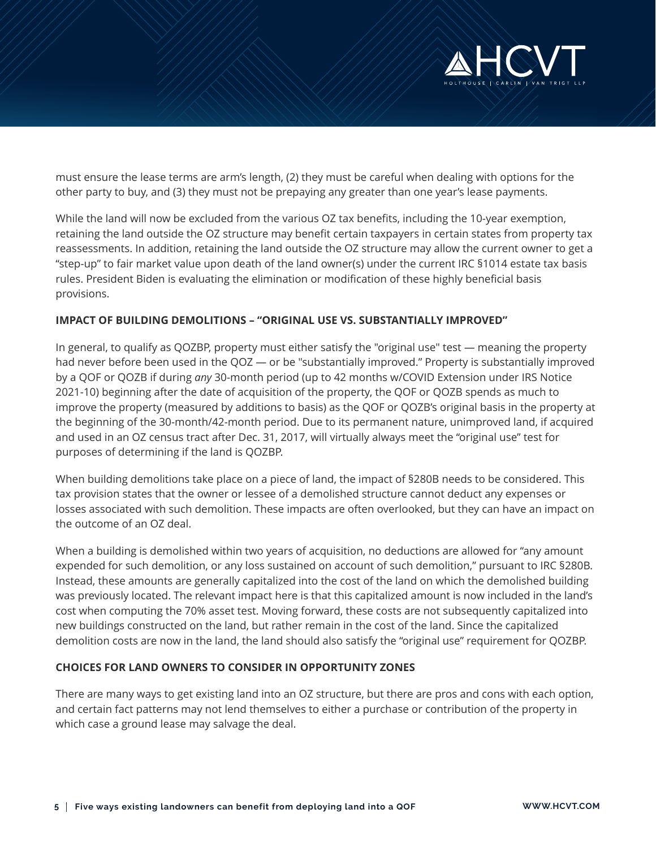

must ensure the lease terms are arm's length, (2) they must be careful when dealing with options for the other party to buy, and (3) they must not be prepaying any greater than one year's lease payments.

While the land will now be excluded from the various OZ tax benefits, including the 10-year exemption, retaining the land outside the OZ structure may benefit certain taxpayers in certain states from property tax reassessments. In addition, retaining the land outside the OZ structure may allow the current owner to get a "step-up" to fair market value upon death of the land owner(s) under the current IRC §1014 estate tax basis rules. President Biden is evaluating the elimination or modification of these highly beneficial basis provisions.

## **IMPACT OF BUILDING DEMOLITIONS – "ORIGINAL USE VS. SUBSTANTIALLY IMPROVED"**

In general, to qualify as QOZBP, property must either satisfy the "original use" test — meaning the property had never before been used in the QOZ — or be "substantially improved." Property is substantially improved by a QOF or QOZB if during *any* 30-month period (up to 42 months w/COVID Extension under IRS Notice 2021-10) beginning after the date of acquisition of the property, the QOF or QOZB spends as much to improve the property (measured by additions to basis) as the QOF or QOZB's original basis in the property at the beginning of the 30-month/42-month period. Due to its permanent nature, unimproved land, if acquired and used in an OZ census tract after Dec. 31, 2017, will virtually always meet the "original use" test for purposes of determining if the land is QOZBP.

When building demolitions take place on a piece of land, the impact of §280B needs to be considered. This tax provision states that the owner or lessee of a demolished structure cannot deduct any expenses or losses associated with such demolition. These impacts are often overlooked, but they can have an impact on the outcome of an OZ deal.

When a building is demolished within two years of acquisition, no deductions are allowed for "any amount expended for such demolition, or any loss sustained on account of such demolition," pursuant to IRC §280B. Instead, these amounts are generally capitalized into the cost of the land on which the demolished building was previously located. The relevant impact here is that this capitalized amount is now included in the land's cost when computing the 70% asset test. Moving forward, these costs are not subsequently capitalized into new buildings constructed on the land, but rather remain in the cost of the land. Since the capitalized demolition costs are now in the land, the land should also satisfy the "original use" requirement for QOZBP.

### **CHOICES FOR LAND OWNERS TO CONSIDER IN OPPORTUNITY ZONES**

There are many ways to get existing land into an OZ structure, but there are pros and cons with each option, and certain fact patterns may not lend themselves to either a purchase or contribution of the property in which case a ground lease may salvage the deal.